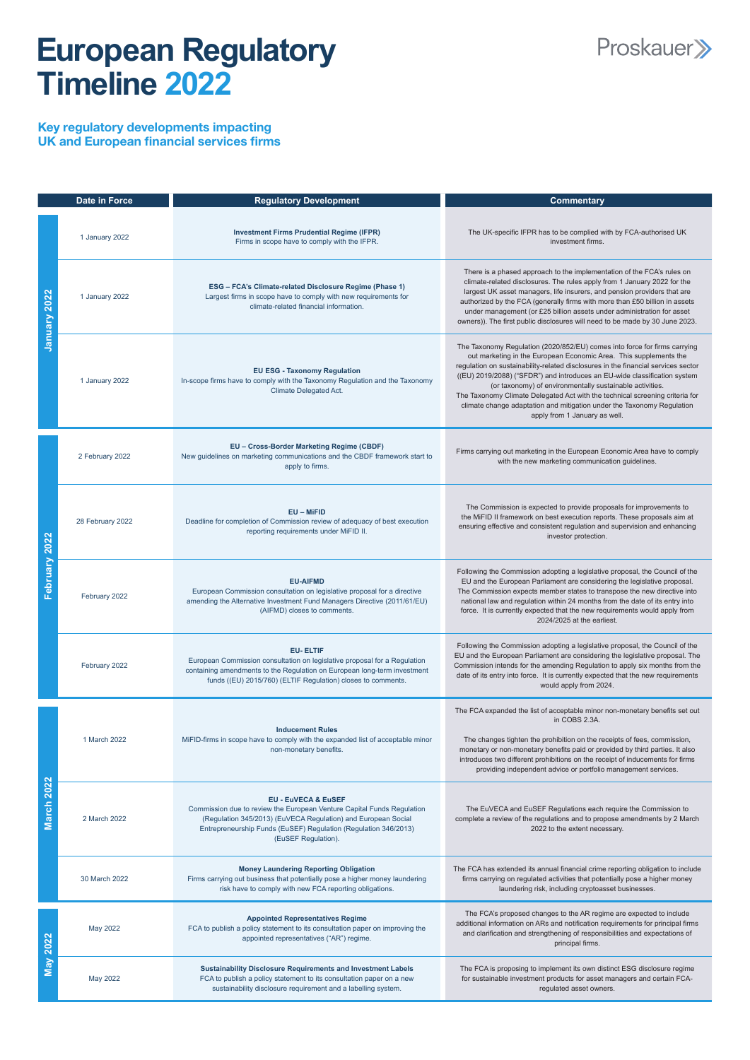## **European Regulatory Timeline 2022**



Key regulatory developments impacting UK and European financial services firms

|                  | <b>Date in Force</b> | <b>Regulatory Development</b>                                                                                                                                                                                                            | <b>Commentary</b>                                                                                                                                                                                                                                                                                                                                                                                                                                                                                                                                                       |
|------------------|----------------------|------------------------------------------------------------------------------------------------------------------------------------------------------------------------------------------------------------------------------------------|-------------------------------------------------------------------------------------------------------------------------------------------------------------------------------------------------------------------------------------------------------------------------------------------------------------------------------------------------------------------------------------------------------------------------------------------------------------------------------------------------------------------------------------------------------------------------|
| January 2022     | 1 January 2022       | <b>Investment Firms Prudential Regime (IFPR)</b><br>Firms in scope have to comply with the IFPR.                                                                                                                                         | The UK-specific IFPR has to be complied with by FCA-authorised UK<br>investment firms.                                                                                                                                                                                                                                                                                                                                                                                                                                                                                  |
|                  | 1 January 2022       | ESG - FCA's Climate-related Disclosure Regime (Phase 1)<br>Largest firms in scope have to comply with new requirements for<br>climate-related financial information.                                                                     | There is a phased approach to the implementation of the FCA's rules on<br>climate-related disclosures. The rules apply from 1 January 2022 for the<br>largest UK asset managers, life insurers, and pension providers that are<br>authorized by the FCA (generally firms with more than £50 billion in assets<br>under management (or £25 billion assets under administration for asset<br>owners)). The first public disclosures will need to be made by 30 June 2023.                                                                                                 |
|                  | 1 January 2022       | <b>EU ESG - Taxonomy Regulation</b><br>In-scope firms have to comply with the Taxonomy Regulation and the Taxonomy<br><b>Climate Delegated Act.</b>                                                                                      | The Taxonomy Regulation (2020/852/EU) comes into force for firms carrying<br>out marketing in the European Economic Area. This supplements the<br>regulation on sustainability-related disclosures in the financial services sector<br>((EU) 2019/2088) ("SFDR") and introduces an EU-wide classification system<br>(or taxonomy) of environmentally sustainable activities.<br>The Taxonomy Climate Delegated Act with the technical screening criteria for<br>climate change adaptation and mitigation under the Taxonomy Regulation<br>apply from 1 January as well. |
| bruary 2022<br>正 | 2 February 2022      | EU - Cross-Border Marketing Regime (CBDF)<br>New guidelines on marketing communications and the CBDF framework start to<br>apply to firms.                                                                                               | Firms carrying out marketing in the European Economic Area have to comply<br>with the new marketing communication guidelines.                                                                                                                                                                                                                                                                                                                                                                                                                                           |
|                  | 28 February 2022     | $EU - MiFID$<br>Deadline for completion of Commission review of adequacy of best execution<br>reporting requirements under MiFID II.                                                                                                     | The Commission is expected to provide proposals for improvements to<br>the MiFID II framework on best execution reports. These proposals aim at<br>ensuring effective and consistent regulation and supervision and enhancing<br>investor protection.                                                                                                                                                                                                                                                                                                                   |
|                  | February 2022        | <b>EU-AIFMD</b><br>European Commission consultation on legislative proposal for a directive<br>amending the Alternative Investment Fund Managers Directive (2011/61/EU)<br>(AIFMD) closes to comments.                                   | Following the Commission adopting a legislative proposal, the Council of the<br>EU and the European Parliament are considering the legislative proposal.<br>The Commission expects member states to transpose the new directive into<br>national law and regulation within 24 months from the date of its entry into<br>force. It is currently expected that the new requirements would apply from<br>2024/2025 at the earliest.                                                                                                                                        |
|                  | February 2022        | <b>EU-ELTIF</b><br>European Commission consultation on legislative proposal for a Regulation<br>containing amendments to the Regulation on European long-term investment<br>funds ((EU) 2015/760) (ELTIF Regulation) closes to comments. | Following the Commission adopting a legislative proposal, the Council of the<br>EU and the European Parliament are considering the legislative proposal. The<br>Commission intends for the amending Regulation to apply six months from the<br>date of its entry into force. It is currently expected that the new requirements<br>would apply from 2024.                                                                                                                                                                                                               |
| 2022             | 1 March 2022         | <b>Inducement Rules</b><br>MiFID-firms in scope have to comply with the expanded list of acceptable minor<br>non-monetary benefits.                                                                                                      | The FCA expanded the list of acceptable minor non-monetary benefits set out<br>in COBS 2.3A.<br>The changes tighten the prohibition on the receipts of fees, commission,<br>monetary or non-monetary benefits paid or provided by third parties. It also<br>introduces two different prohibitions on the receipt of inducements for firms<br>providing independent advice or portfolio management services.                                                                                                                                                             |
|                  |                      | <b>FU-FUVECA &amp; FUSEE</b>                                                                                                                                                                                                             |                                                                                                                                                                                                                                                                                                                                                                                                                                                                                                                                                                         |

| 2 March 2022  | <b>EU - EUVECA &amp; EUSEF</b><br>Commission due to review the European Venture Capital Funds Regulation<br>(Regulation 345/2013) (EuVECA Regulation) and European Social<br>Entrepreneurship Funds (EuSEF) Regulation (Regulation 346/2013)<br>(EuSEF Regulation). | The EuVECA and EuSEF Regulations each require the Commission to<br>complete a review of the regulations and to propose amendments by 2 March<br>2022 to the extent necessary.                                                                             |
|---------------|---------------------------------------------------------------------------------------------------------------------------------------------------------------------------------------------------------------------------------------------------------------------|-----------------------------------------------------------------------------------------------------------------------------------------------------------------------------------------------------------------------------------------------------------|
| 30 March 2022 | <b>Money Laundering Reporting Obligation</b><br>Firms carrying out business that potentially pose a higher money laundering<br>risk have to comply with new FCA reporting obligations.                                                                              | The FCA has extended its annual financial crime reporting obligation to include<br>firms carrying on regulated activities that potentially pose a higher money<br>laundering risk, including cryptoasset businesses.                                      |
| May 2022      | <b>Appointed Representatives Regime</b><br>FCA to publish a policy statement to its consultation paper on improving the<br>appointed representatives ("AR") regime.                                                                                                 | The FCA's proposed changes to the AR regime are expected to include<br>additional information on ARs and notification requirements for principal firms<br>and clarification and strengthening of responsibilities and expectations of<br>principal firms. |
| May 2022      | <b>Sustainability Disclosure Requirements and Investment Labels</b><br>FCA to publish a policy statement to its consultation paper on a new<br>sustainability disclosure requirement and a labelling system.                                                        | The FCA is proposing to implement its own distinct ESG disclosure regime<br>for sustainable investment products for asset managers and certain FCA-<br>regulated asset owners.                                                                            |